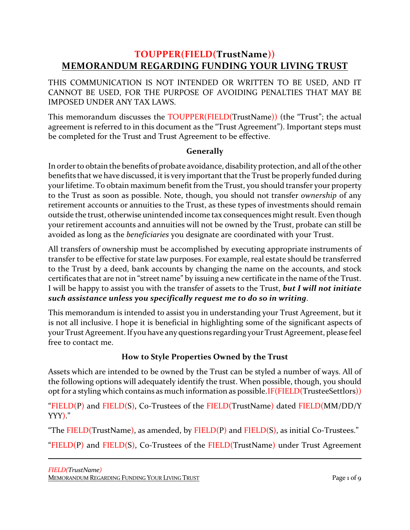# **TOUPPER(FIELD(TrustName)) MEMORANDUM REGARDING FUNDING YOUR LIVING TRUST**

THIS COMMUNICATION IS NOT INTENDED OR WRITTEN TO BE USED, AND IT CANNOT BE USED, FOR THE PURPOSE OF AVOIDING PENALTIES THAT MAY BE IMPOSED UNDER ANY TAX LAWS.

This memorandum discusses the TOUPPER(FIELD(TrustName)) (the "Trust"; the actual agreement is referred to in this document as the "Trust Agreement"). Important steps must be completed for the Trust and Trust Agreement to be effective.

### **Generally**

In order to obtain the benefits of probate avoidance, disability protection, and all of the other benefits that we have discussed, it is very important that the Trust be properly funded during your lifetime. To obtain maximum benefit from the Trust, you should transfer your property to the Trust as soon as possible. Note, though, you should not transfer *ownership* of any retirement accounts or annuities to the Trust, as these types of investments should remain outside the trust, otherwise unintended income tax consequences might result. Even though your retirement accounts and annuities will not be owned by the Trust, probate can still be avoided as long as the *beneficiaries* you designate are coordinated with your Trust.

All transfers of ownership must be accomplished by executing appropriate instruments of transfer to be effective for state law purposes. For example, real estate should be transferred to the Trust by a deed, bank accounts by changing the name on the accounts, and stock certificates that are not in "street name" by issuing a new certificate in the name of the Trust. I will be happy to assist you with the transfer of assets to the Trust, *but I will not initiate such assistance unless you specifically request me to do so in writing*.

This memorandum is intended to assist you in understanding your Trust Agreement, but it is not all inclusive. I hope it is beneficial in highlighting some of the significant aspects of your Trust Agreement. If you have any questions regarding your Trust Agreement, please feel free to contact me.

# **How to Style Properties Owned by the Trust**

Assets which are intended to be owned by the Trust can be styled a number of ways. All of the following options will adequately identify the trust. When possible, though, you should opt for a styling which contains as much information as possible.IF(FIELD(TrusteeSettlors))

"FIELD(P) and FIELD(S), Co-Trustees of the FIELD(TrustName) dated FIELD(MM/DD/Y YYY)."

"The  $FIED(TrustName)$ , as amended, by  $FIED(P)$  and  $FIED(S)$ , as initial Co-Trustees."

"FIELD(P) and FIELD(S), Co-Trustees of the FIELD(TrustName) under Trust Agreement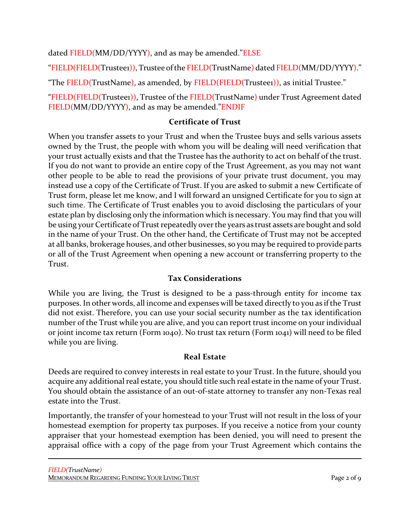dated FIELD(MM/DD/YYYY), and as may be amended."ELSE

"FIELD(FIELD(Trustee1)), Trustee of the FIELD(TrustName) dated FIELD(MM/DD/YYYY)."

"The FIELD(TrustName), as amended, by FIELD(FIELD(Trustee1)), as initial Trustee."

"FIELD(FIELD(Trustee1)), Trustee of the FIELD(TrustName) under Trust Agreement dated FIELD(MM/DD/YYYY), and as may be amended."ENDIF

#### **Certificate of Trust**

When you transfer assets to your Trust and when the Trustee buys and sells various assets owned by the Trust, the people with whom you will be dealing will need verification that your trust actually exists and that the Trustee has the authority to act on behalf of the trust. If you do not want to provide an entire copy of the Trust Agreement, as you may not want other people to be able to read the provisions of your private trust document, you may instead use a copy of the Certificate of Trust. If you are asked to submit a new Certificate of Trust form, please let me know, and I will forward an unsigned Certificate for you to sign at such time. The Certificate of Trust enables you to avoid disclosing the particulars of your estate plan by disclosing only the information which is necessary. You may find that you will be using your Certificate of Trust repeatedly over the years as trust assets are bought and sold in the name of your Trust. On the other hand, the Certificate of Trust may not be accepted at all banks, brokerage houses, and other businesses, so you may be required to provide parts or all of the Trust Agreement when opening a new account or transferring property to the Trust.

# **Tax Considerations**

While you are living, the Trust is designed to be a pass-through entity for income tax purposes. In other words, all income and expenses will be taxed directly to you as if the Trust did not exist. Therefore, you can use your social security number as the tax identification number of the Trust while you are alive, and you can report trust income on your individual or joint income tax return (Form 1040). No trust tax return (Form 1041) will need to be filed while you are living.

#### **Real Estate**

Deeds are required to convey interests in real estate to your Trust. In the future, should you acquire any additional real estate, you should title such real estate in the name of your Trust. You should obtain the assistance of an out-of-state attorney to transfer any non-Texas real estate into the Trust.

Importantly, the transfer of your homestead to your Trust will not result in the loss of your homestead exemption for property tax purposes. If you receive a notice from your county appraiser that your homestead exemption has been denied, you will need to present the appraisal office with a copy of the page from your Trust Agreement which contains the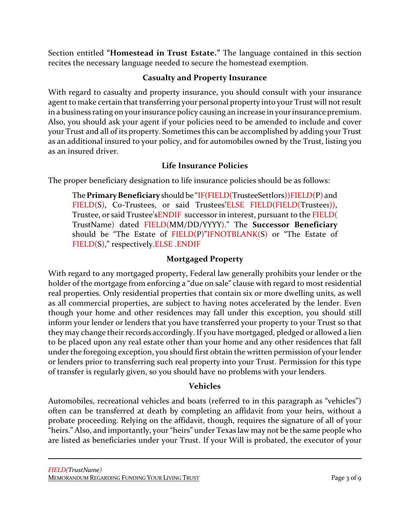Section entitled **"Homestead in Trust Estate."** The language contained in this section recites the necessary language needed to secure the homestead exemption.

# **Casualty and Property Insurance**

With regard to casualty and property insurance, you should consult with your insurance agent to make certain that transferring your personal property into your Trust will not result in a business rating on your insurance policy causing an increase in your insurance premium. Also, you should ask your agent if your policies need to be amended to include and cover your Trust and all of its property. Sometimes this can be accomplished by adding your Trust as an additional insured to your policy, and for automobiles owned by the Trust, listing you as an insured driver.

# **Life Insurance Policies**

The proper beneficiary designation to life insurance policies should be as follows:

The **Primary Beneficiary** should be "IF(FIELD(TrusteeSettlors))FIELD(P) and FIELD(S), Co-Trustees, or said Trustees'ELSE FIELD(FIELD(Trustee1)), Trustee, or said Trustee'sENDIF successor in interest, pursuant to the FIELD( TrustName) dated FIELD(MM/DD/YYYY)." The **Successor Beneficiary** should be "The Estate of FIELD(P)"IFNOTBLANK(S) or "The Estate of FIELD(S)," respectively.ELSE .ENDIF

# **Mortgaged Property**

With regard to any mortgaged property, Federal law generally prohibits your lender or the holder of the mortgage from enforcing a "due on sale" clause with regard to most residential real properties. Only residential properties that contain six or more dwelling units, as well as all commercial properties, are subject to having notes accelerated by the lender. Even though your home and other residences may fall under this exception, you should still inform your lender or lenders that you have transferred your property to your Trust so that they may change their records accordingly. If you have mortgaged, pledged or allowed a lien to be placed upon any real estate other than your home and any other residences that fall under the foregoing exception, you should first obtain the written permission of your lender or lenders prior to transferring such real property into your Trust. Permission for this type of transfer is regularly given, so you should have no problems with your lenders.

# **Vehicles**

Automobiles, recreational vehicles and boats (referred to in this paragraph as "vehicles") often can be transferred at death by completing an affidavit from your heirs, without a probate proceeding. Relying on the affidavit, though, requires the signature of all of your "heirs." Also, and importantly, your "heirs" under Texas law may not be the same people who are listed as beneficiaries under your Trust. If your Will is probated, the executor of your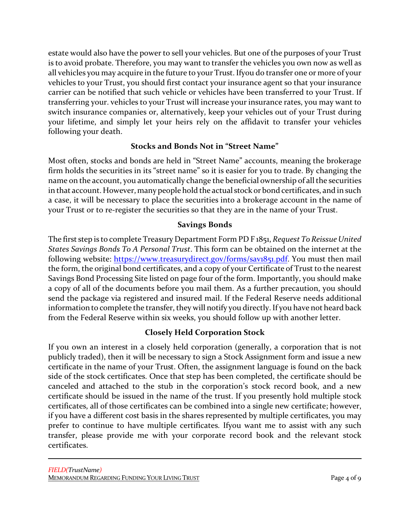estate would also have the power to sell your vehicles. But one of the purposes of your Trust is to avoid probate. Therefore, you may want to transfer the vehicles you own now as well as all vehicles you may acquire in the future to your Trust. Ifyou do transfer one or more of your vehicles to your Trust, you should first contact your insurance agent so that your insurance carrier can be notified that such vehicle or vehicles have been transferred to your Trust. If transferring your. vehicles to your Trust will increase your insurance rates, you may want to switch insurance companies or, alternatively, keep your vehicles out of your Trust during your lifetime, and simply let your heirs rely on the affidavit to transfer your vehicles following your death.

### **Stocks and Bonds Not in "Street Name"**

Most often, stocks and bonds are held in "Street Name" accounts, meaning the brokerage firm holds the securities in its "street name" so it is easier for you to trade. By changing the name on the account, you automatically change the beneficial ownership of all the securities in that account. However, many people hold the actual stock or bond certificates, and in such a case, it will be necessary to place the securities into a brokerage account in the name of your Trust or to re-register the securities so that they are in the name of your Trust.

### **Savings Bonds**

The first step is to complete Treasury Department Form PD F 1851, *Request To Reissue United States Savings Bonds To A Personal Trust*. This form can be obtained on the internet at the following website: <https://www.treasurydirect.gov/forms/sav1851.pdf>. You must then mail the form, the original bond certificates, and a copy of your Certificate of Trust to the nearest Savings Bond Processing Site listed on page four of the form. Importantly, you should make a copy of all of the documents before you mail them. As a further precaution, you should send the package via registered and insured mail. If the Federal Reserve needs additional information to complete the transfer, they will notify you directly. If you have not heard back from the Federal Reserve within six weeks, you should follow up with another letter.

# **Closely Held Corporation Stock**

If you own an interest in a closely held corporation (generally, a corporation that is not publicly traded), then it will be necessary to sign a Stock Assignment form and issue a new certificate in the name of your Trust. Often, the assignment language is found on the back side of the stock certificates. Once that step has been completed, the certificate should be canceled and attached to the stub in the corporation's stock record book, and a new certificate should be issued in the name of the trust. If you presently hold multiple stock certificates, all of those certificates can be combined into a single new certificate; however, if you have a different cost basis in the shares represented by multiple certificates, you may prefer to continue to have multiple certificates. Ifyou want me to assist with any such transfer, please provide me with your corporate record book and the relevant stock certificates.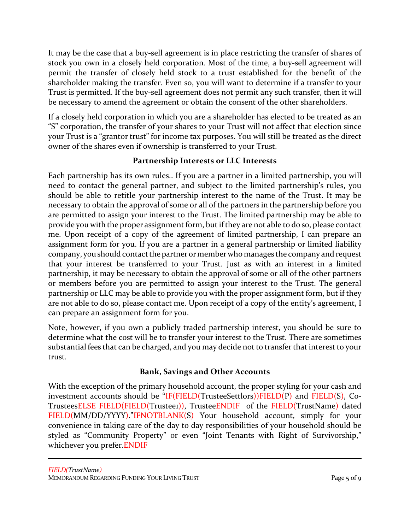It may be the case that a buy-sell agreement is in place restricting the transfer of shares of stock you own in a closely held corporation. Most of the time, a buy-sell agreement will permit the transfer of closely held stock to a trust established for the benefit of the shareholder making the transfer. Even so, you will want to determine if a transfer to your Trust is permitted. If the buy-sell agreement does not permit any such transfer, then it will be necessary to amend the agreement or obtain the consent of the other shareholders.

If a closely held corporation in which you are a shareholder has elected to be treated as an "S" corporation, the transfer of your shares to your Trust will not affect that election since your Trust is a "grantor trust" for income tax purposes. You will still be treated as the direct owner of the shares even if ownership is transferred to your Trust.

# **Partnership Interests or LLC Interests**

Each partnership has its own rules.. If you are a partner in a limited partnership, you will need to contact the general partner, and subject to the limited partnership's rules, you should be able to retitle your partnership interest to the name of the Trust. It may be necessary to obtain the approval of some or all of the partners in the partnership before you are permitted to assign your interest to the Trust. The limited partnership may be able to provide you with the proper assignment form, but if they are not able to do so, please contact me. Upon receipt of a copy of the agreement of limited partnership, I can prepare an assignment form for you. If you are a partner in a general partnership or limited liability company, you should contact the partner or member who manages the company and request that your interest be transferred to your Trust. Just as with an interest in a limited partnership, it may be necessary to obtain the approval of some or all of the other partners or members before you are permitted to assign your interest to the Trust. The general partnership or LLC may be able to provide you with the proper assignment form, but if they are not able to do so, please contact me. Upon receipt of a copy of the entity's agreement, I can prepare an assignment form for you.

Note, however, if you own a publicly traded partnership interest, you should be sure to determine what the cost will be to transfer your interest to the Trust. There are sometimes substantial fees that can be charged, and you may decide not to transfer that interest to your trust.

# **Bank, Savings and Other Accounts**

With the exception of the primary household account, the proper styling for your cash and investment accounts should be "IF(FIELD(TrusteeSettlors))FIELD(P) and FIELD(S), Co-TrusteesELSE FIELD(FIELD(Trustee1)), TrusteeENDIF of the FIELD(TrustName) dated FIELD(MM/DD/YYYY)."IFNOTBLANK(S) Your household account, simply for your convenience in taking care of the day to day responsibilities of your household should be styled as "Community Property" or even "Joint Tenants with Right of Survivorship," whichever you prefer.ENDIF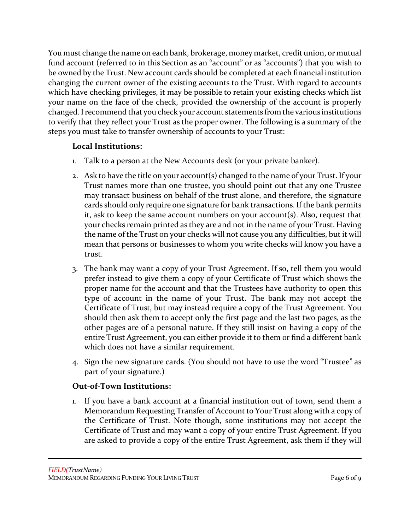You must change the name on each bank, brokerage, money market, credit union, or mutual fund account (referred to in this Section as an "account" or as "accounts") that you wish to be owned by the Trust. New account cards should be completed at each financial institution changing the current owner of the existing accounts to the Trust. With regard to accounts which have checking privileges, it may be possible to retain your existing checks which list your name on the face of the check, provided the ownership of the account is properly changed. Irecommend that you check your account statements from the various institutions to verify that they reflect your Trust as the proper owner. The following is a summary of the steps you must take to transfer ownership of accounts to your Trust:

### **Local Institutions:**

- 1. Talk to a person at the New Accounts desk (or your private banker).
- 2. Ask to have the title on your account(s) changed to the name of your Trust. If your Trust names more than one trustee, you should point out that any one Trustee may transact business on behalf of the trust alone, and therefore, the signature cards should only require one signature for bank transactions. If the bank permits it, ask to keep the same account numbers on your account(s). Also, request that your checks remain printed as they are and not in the name of your Trust. Having the name of the Trust on your checks will not cause you any difficulties, but it will mean that persons or businesses to whom you write checks will know you have a trust.
- 3. The bank may want a copy of your Trust Agreement. If so, tell them you would prefer instead to give them a copy of your Certificate of Trust which shows the proper name for the account and that the Trustees have authority to open this type of account in the name of your Trust. The bank may not accept the Certificate of Trust, but may instead require a copy of the Trust Agreement. You should then ask them to accept only the first page and the last two pages, as the other pages are of a personal nature. If they still insist on having a copy of the entire Trust Agreement, you can either provide it to them or find a different bank which does not have a similar requirement.
- 4. Sign the new signature cards. (You should not have to use the word "Trustee" as part of your signature.)

#### **Out-of-Town Institutions:**

1. If you have a bank account at a financial institution out of town, send them a Memorandum Requesting Transfer of Account to Your Trust along with a copy of the Certificate of Trust. Note though, some institutions may not accept the Certificate of Trust and may want a copy of your entire Trust Agreement. If you are asked to provide a copy of the entire Trust Agreement, ask them if they will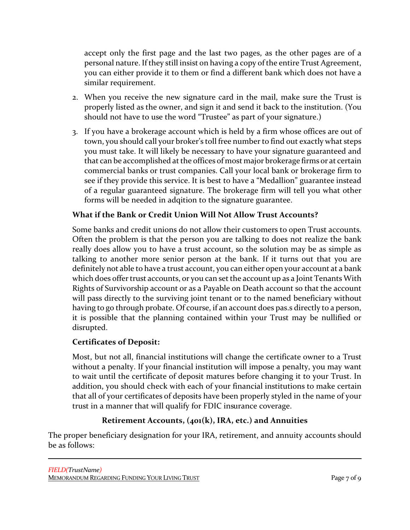accept only the first page and the last two pages, as the other pages are of a personal nature. If they still insist on having a copy of the entire Trust Agreement, you can either provide it to them or find a different bank which does not have a similar requirement.

- 2. When you receive the new signature card in the mail, make sure the Trust is properly listed as the owner, and sign it and send it back to the institution. (You should not have to use the word "Trustee" as part of your signature.)
- 3. If you have a brokerage account which is held by a firm whose offices are out of town, you should call your broker's toll free number to find out exactly what steps you must take. It will likely be necessary to have your signature guaranteed and that can be accomplished at the offices of most major brokerage firms or at certain commercial banks or trust companies. Call your local bank or brokerage firm to see if they provide this service. It is best to have a "Medallion" guarantee instead of a regular guaranteed signature. The brokerage firm will tell you what other forms will be needed in adqition to the signature guarantee.

# **What if the Bank or Credit Union Will Not Allow Trust Accounts?**

Some banks and credit unions do not allow their customers to open Trust accounts. Often the problem is that the person you are talking to does not realize the bank really does allow you to have a trust account, so the solution may be as simple as talking to another more senior person at the bank. If it turns out that you are definitely not able to have a trust account, you can either open your account at a bank which does offer trust accounts, or you can set the account up as a Joint Tenants With Rights of Survivorship account or as a Payable on Death account so that the account will pass directly to the surviving joint tenant or to the named beneficiary without having to go through probate. Of course, if an account does pas.s directly to a person, it is possible that the planning contained within your Trust may be nullified or disrupted.

# **Certificates of Deposit:**

Most, but not all, financial institutions will change the certificate owner to a Trust without a penalty. If your financial institution will impose a penalty, you may want to wait until the certificate of deposit matures before changing it to your Trust. In addition, you should check with each of your financial institutions to make certain that all of your certificates of deposits have been properly styled in the name of your trust in a manner that will qualify for FDIC insurance coverage.

# **Retirement Accounts, (401(k), IRA, etc.) and Annuities**

The proper beneficiary designation for your IRA, retirement, and annuity accounts should be as follows: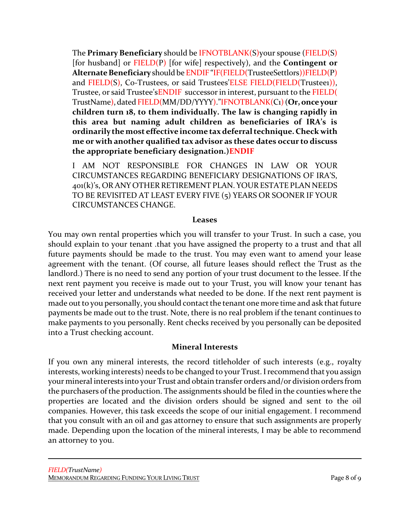The **Primary Beneficiary** should be IFNOTBLANK(S)your spouse (FIELD(S) [for husband] or FIELD(P) [for wife] respectively), and the **Contingent or** Alternate Beneficiary should be ENDIF "IF(FIELD(TrusteeSettlors))FIELD(P) and FIELD(S), Co-Trustees, or said Trustees'ELSE FIELD(FIELD(Trusteei)), Trustee, or said Trustee'sENDIF successor in interest, pursuant to the FIELD( TrustName), dated FIELD(MM/DD/YYYY)."IFNOTBLANK(C1)(**Or,onceyour children turn 18, to them individually. The law is changing rapidly in this area but naming adult children as beneficiaries of IRA's is ordinarily the most effective income tax deferral technique. Check with me or with another qualified tax advisor as these dates occur to discuss the appropriate beneficiary designation.)ENDIF** 

I AM NOT RESPONSIBLE FOR CHANGES IN LAW OR YOUR CIRCUMSTANCES REGARDING BENEFICIARY DESIGNATIONS OF IRA'S, 401(k)'s, OR ANY OTHER RETIREMENT PLAN. YOUR ESTATE PLAN NEEDS TO BE REVISITED AT LEAST EVERY FIVE (5) YEARS OR SOONER IF YOUR CIRCUMSTANCES CHANGE.

#### **Leases**

You may own rental properties which you will transfer to your Trust. In such a case, you should explain to your tenant .that you have assigned the property to a trust and that all future payments should be made to the trust. You may even want to amend your lease agreement with the tenant. (Of course, all future leases should reflect the Trust as the landlord.) There is no need to send any portion of your trust document to the lessee. If the next rent payment you receive is made out to your Trust, you will know your tenant has received your letter and understands what needed to be done. If the next rent payment is made out to you personally, you should contact the tenant one more time and ask that future payments be made out to the trust. Note, there is no real problem if the tenant continues to make payments to you personally. Rent checks received by you personally can be deposited into a Trust checking account.

#### **Mineral Interests**

If you own any mineral interests, the record titleholder of such interests (e.g., royalty interests, working interests) needs to be changed to your Trust. I recommend that you assign your mineral interests into your Trust and obtain transfer orders and/or division orders from the purchasers of the production. The assignments should be filed in the counties where the properties are located and the division orders should be signed and sent to the oil companies. However, this task exceeds the scope of our initial engagement. I recommend that you consult with an oil and gas attorney to ensure that such assignments are properly made. Depending upon the location of the mineral interests, I may be able to recommend an attorney to you.